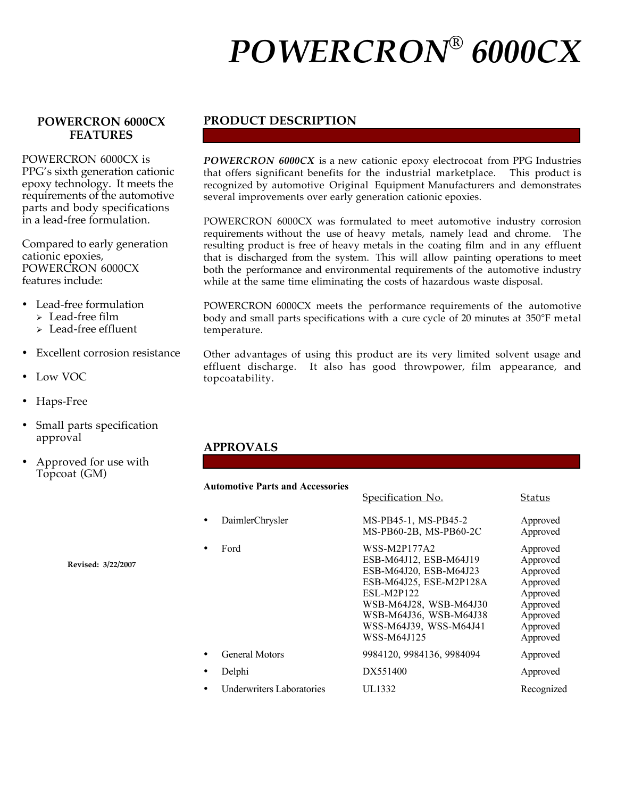# *POWERCRON® 6000CX*

### **POWERCRON 6000CX FEATURES**

POWERCRON 6000CX is PPG's sixth generation cationic epoxy technology. It meets the requirements of the automotive parts and body specifications in a lead-free formulation.

Compared to early generation cationic epoxies, POWERCRON 6000CX features include:

- Lead-free formulation
	- $\geq$  Lead-free film
	- Lead-free effluent
- Excellent corrosion resistance
- Low VOC
- Haps-Free
- Small parts specification approval
- Approved for use with Topcoat (GM)

**Revised: 3/22/2007**

### **PRODUCT DESCRIPTION**

*POWERCRON 6000CX* is a new cationic epoxy electrocoat from PPG Industries that offers significant benefits for the industrial marketplace. This product is recognized by automotive Original Equipment Manufacturers and demonstrates several improvements over early generation cationic epoxies.

POWERCRON 6000CX was formulated to meet automotive industry corrosion requirements without the use of heavy metals, namely lead and chrome. The resulting product is free of heavy metals in the coating film and in any effluent that is discharged from the system. This will allow painting operations to meet both the performance and environmental requirements of the automotive industry while at the same time eliminating the costs of hazardous waste disposal.

POWERCRON 6000CX meets the performance requirements of the automotive body and small parts specifications with a cure cycle of 20 minutes at 350°F metal temperature.

Other advantages of using this product are its very limited solvent usage and effluent discharge. It also has good throwpower, film appearance, and topcoatability.

Specification No. Status

#### **APPROVALS**

#### **Automotive Parts and Accessories**

|                                  | <u>opeemaanon vol</u>                                                                                                                                                                                         | ouuuo                                                                                                    |
|----------------------------------|---------------------------------------------------------------------------------------------------------------------------------------------------------------------------------------------------------------|----------------------------------------------------------------------------------------------------------|
| DaimlerChrysler                  | MS-PB45-1, MS-PB45-2<br>MS-PB60-2B, MS-PB60-2C                                                                                                                                                                | Approved<br>Approved                                                                                     |
| Ford                             | WSS-M2P177A2<br>ESB-M64J12, ESB-M64J19<br>ESB-M64J20, ESB-M64J23<br>ESB-M64J25, ESE-M2P128A<br><b>ESL-M2P122</b><br>WSB-M64J28, WSB-M64J30<br>WSB-M64J36, WSB-M64J38<br>WSS-M64J39, WSS-M64J41<br>WSS-M64J125 | Approved<br>Approved<br>Approved<br>Approved<br>Approved<br>Approved<br>Approved<br>Approved<br>Approved |
| <b>General Motors</b>            | 9984120, 9984136, 9984094                                                                                                                                                                                     | Approved                                                                                                 |
| Delphi                           | DX551400                                                                                                                                                                                                      | Approved                                                                                                 |
| <b>Underwriters Laboratories</b> | UL1332                                                                                                                                                                                                        | Recognized                                                                                               |